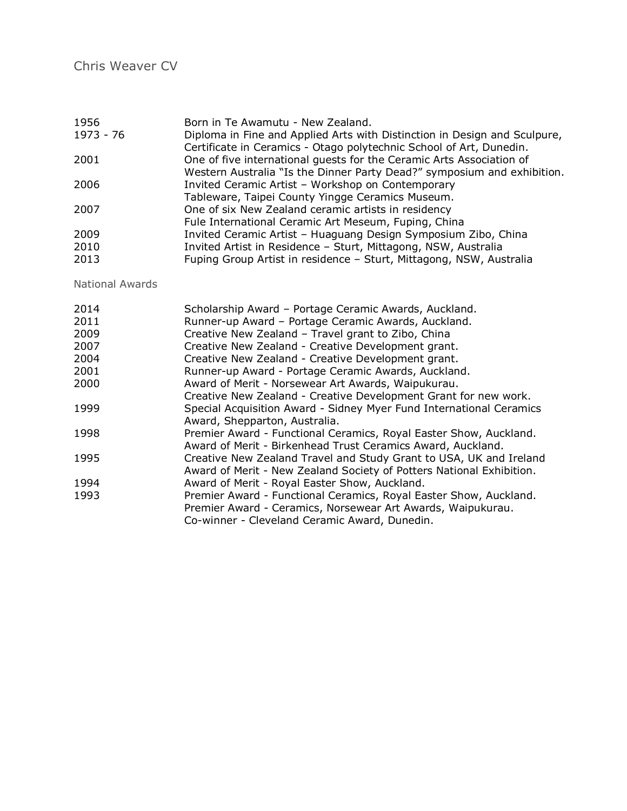| 1956      | Born in Te Awamutu - New Zealand.                                         |
|-----------|---------------------------------------------------------------------------|
| 1973 - 76 | Diploma in Fine and Applied Arts with Distinction in Design and Sculpure, |
|           | Certificate in Ceramics - Otago polytechnic School of Art, Dunedin.       |
| 2001      | One of five international guests for the Ceramic Arts Association of      |
|           | Western Australia "Is the Dinner Party Dead?" symposium and exhibition.   |
| 2006      | Invited Ceramic Artist - Workshop on Contemporary                         |
|           | Tableware, Taipei County Yingge Ceramics Museum.                          |
| 2007      | One of six New Zealand ceramic artists in residency                       |
|           | Fule International Ceramic Art Meseum, Fuping, China                      |
| 2009      | Invited Ceramic Artist - Huaguang Design Symposium Zibo, China            |
| 2010      | Invited Artist in Residence - Sturt, Mittagong, NSW, Australia            |
| 2013      | Fuping Group Artist in residence – Sturt, Mittagong, NSW, Australia       |

National Awards

| 2014 | Scholarship Award - Portage Ceramic Awards, Auckland.                |
|------|----------------------------------------------------------------------|
| 2011 | Runner-up Award - Portage Ceramic Awards, Auckland.                  |
| 2009 | Creative New Zealand - Travel grant to Zibo, China                   |
| 2007 | Creative New Zealand - Creative Development grant.                   |
| 2004 | Creative New Zealand - Creative Development grant.                   |
| 2001 | Runner-up Award - Portage Ceramic Awards, Auckland.                  |
| 2000 | Award of Merit - Norsewear Art Awards, Waipukurau.                   |
|      | Creative New Zealand - Creative Development Grant for new work.      |
| 1999 | Special Acquisition Award - Sidney Myer Fund International Ceramics  |
|      | Award, Shepparton, Australia.                                        |
| 1998 | Premier Award - Functional Ceramics, Royal Easter Show, Auckland.    |
|      | Award of Merit - Birkenhead Trust Ceramics Award, Auckland.          |
| 1995 | Creative New Zealand Travel and Study Grant to USA, UK and Ireland   |
|      | Award of Merit - New Zealand Society of Potters National Exhibition. |
| 1994 | Award of Merit - Royal Easter Show, Auckland.                        |
| 1993 | Premier Award - Functional Ceramics, Royal Easter Show, Auckland.    |
|      | Premier Award - Ceramics, Norsewear Art Awards, Waipukurau.          |
|      | Co-winner - Cleveland Ceramic Award, Dunedin.                        |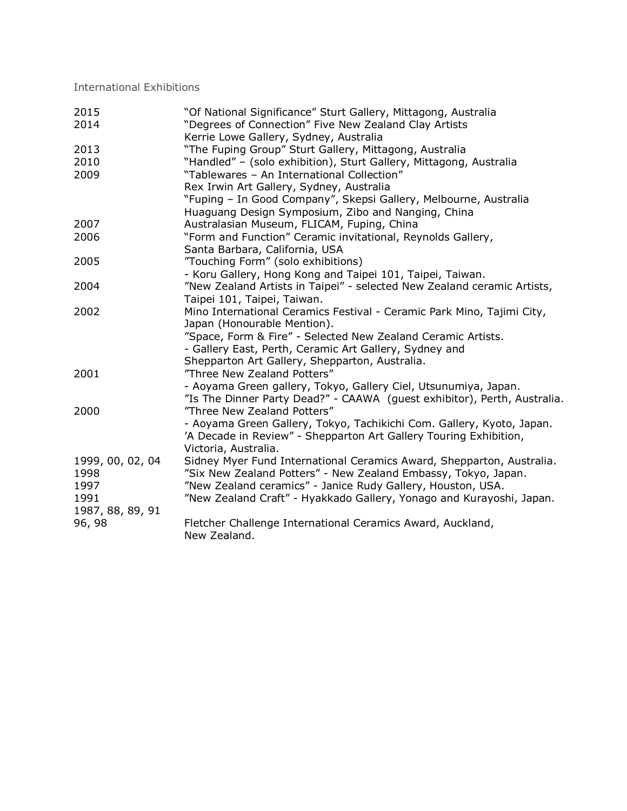International Exhibitions

| 2015             | "Of National Significance" Sturt Gallery, Mittagong, Australia           |
|------------------|--------------------------------------------------------------------------|
| 2014             | "Degrees of Connection" Five New Zealand Clay Artists                    |
|                  | Kerrie Lowe Gallery, Sydney, Australia                                   |
| 2013             | "The Fuping Group" Sturt Gallery, Mittagong, Australia                   |
| 2010             | "Handled" - (solo exhibition), Sturt Gallery, Mittagong, Australia       |
| 2009             | "Tablewares - An International Collection"                               |
|                  | Rex Irwin Art Gallery, Sydney, Australia                                 |
|                  | "Fuping - In Good Company", Skepsi Gallery, Melbourne, Australia         |
|                  | Huaguang Design Symposium, Zibo and Nanging, China                       |
| 2007             | Australasian Museum, FLICAM, Fuping, China                               |
| 2006             | "Form and Function" Ceramic invitational, Reynolds Gallery,              |
|                  | Santa Barbara, California, USA                                           |
| 2005             | "Touching Form" (solo exhibitions)                                       |
|                  | - Koru Gallery, Hong Kong and Taipei 101, Taipei, Taiwan.                |
| 2004             | "New Zealand Artists in Taipei" - selected New Zealand ceramic Artists,  |
|                  | Taipei 101, Taipei, Taiwan.                                              |
| 2002             | Mino International Ceramics Festival - Ceramic Park Mino, Tajimi City,   |
|                  | Japan (Honourable Mention).                                              |
|                  | "Space, Form & Fire" - Selected New Zealand Ceramic Artists.             |
|                  | - Gallery East, Perth, Ceramic Art Gallery, Sydney and                   |
|                  | Shepparton Art Gallery, Shepparton, Australia.                           |
| 2001             | "Three New Zealand Potters"                                              |
|                  | - Aoyama Green gallery, Tokyo, Gallery Ciel, Utsunumiya, Japan.          |
|                  | "Is The Dinner Party Dead?" - CAAWA (guest exhibitor), Perth, Australia. |
| 2000             | "Three New Zealand Potters"                                              |
|                  | - Aoyama Green Gallery, Tokyo, Tachikichi Com. Gallery, Kyoto, Japan.    |
|                  | 'A Decade in Review" - Shepparton Art Gallery Touring Exhibition,        |
|                  | Victoria, Australia.                                                     |
| 1999, 00, 02, 04 | Sidney Myer Fund International Ceramics Award, Shepparton, Australia.    |
| 1998             | "Six New Zealand Potters" - New Zealand Embassy, Tokyo, Japan.           |
| 1997             | "New Zealand ceramics" - Janice Rudy Gallery, Houston, USA.              |
| 1991             | "New Zealand Craft" - Hyakkado Gallery, Yonago and Kurayoshi, Japan.     |
| 1987, 88, 89, 91 |                                                                          |
| 96, 98           | Fletcher Challenge International Ceramics Award, Auckland,               |
|                  | New Zealand.                                                             |